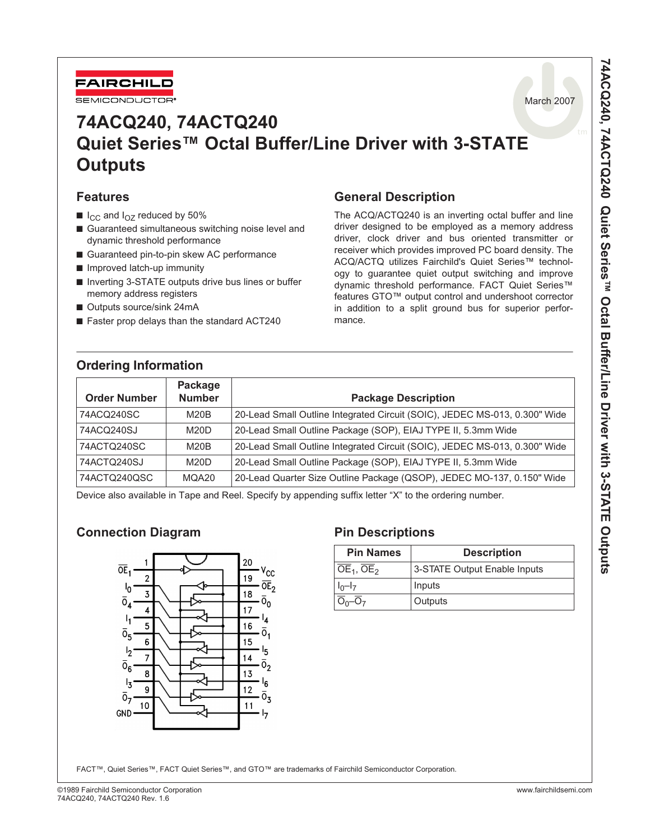

# **74ACQ240, 74ACTQ240 Quiet Series™ Octal Buffer/Line Driver with 3-STATE Outputs**

#### **Features**

- $\blacksquare$  I<sub>CC</sub> and I<sub>OZ</sub> reduced by 50%
- Guaranteed simultaneous switching noise level and dynamic threshold performance
- Guaranteed pin-to-pin skew AC performance
- Improved latch-up immunity
- Inverting 3-STATE outputs drive bus lines or buffer memory address registers
- Outputs source/sink 24mA
- Faster prop delays than the standard ACT240

# **Ordering Information**

# **General Description**

The ACQ/ACTQ240 is an inverting octal buffer and line driver designed to be employed as a memory address driver, clock driver and bus oriented transmitter or receiver which provides improved PC board density. The ACQ/ACTQ utilizes Fairchild's Quiet Series™ technology to guarantee quiet output switching and improve dynamic threshold performance. FACT Quiet Series™ features GTO™ output control and undershoot corrector in addition to a split ground bus for superior performance.

| <b>Order Number</b> | Package<br><b>Number</b> | <b>Package Description</b>                                                 |
|---------------------|--------------------------|----------------------------------------------------------------------------|
| 74ACQ240SC          | M20B                     | 20-Lead Small Outline Integrated Circuit (SOIC), JEDEC MS-013, 0.300" Wide |
| 74ACQ240SJ          | M20D                     | 20-Lead Small Outline Package (SOP), EIAJ TYPE II, 5.3mm Wide              |
| 74ACTQ240SC         | M20B                     | 20-Lead Small Outline Integrated Circuit (SOIC), JEDEC MS-013, 0.300" Wide |
| 74ACTQ240SJ         | M20D                     | 20-Lead Small Outline Package (SOP), EIAJ TYPE II, 5.3mm Wide              |
| 74ACTQ240QSC        | MQA20                    | 20-Lead Quarter Size Outline Package (QSOP), JEDEC MO-137, 0.150" Wide     |

Device also available in Tape and Reel. Specify by appending suffix letter "X" to the ordering number.

# **Connection Diagram Pin Descriptions**



| <b>Pin Names</b>                      | <b>Description</b>           |
|---------------------------------------|------------------------------|
| $\overline{OE}_1$ , $\overline{OE}_2$ | 3-STATE Output Enable Inputs |
| $ I_0-I_7 $                           | Inputs                       |
|                                       | Outputs                      |

FACT™, Quiet Series™, FACT Quiet Series™, and GTO™ are trademarks of Fairchild Semiconductor Corporation.

March 2007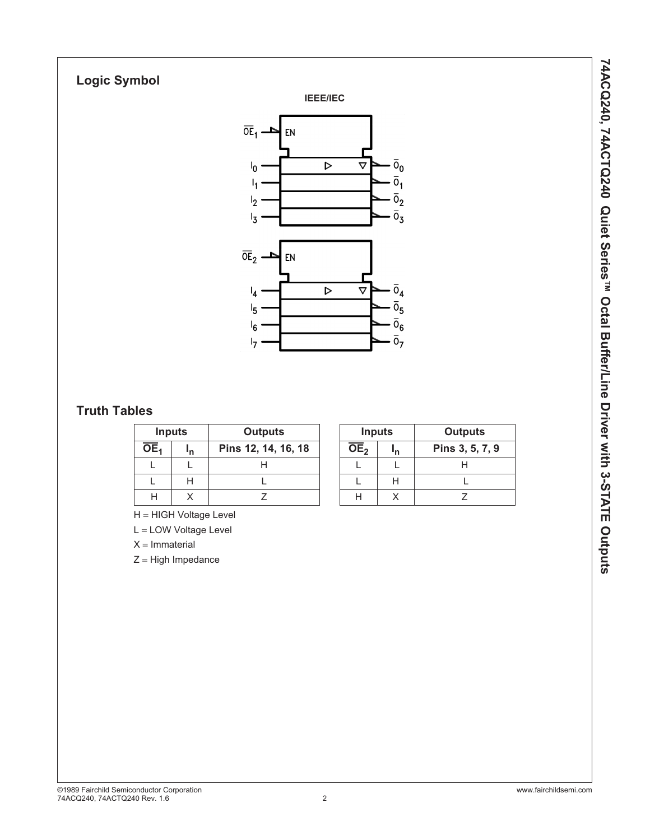# **Logic Symbol**





# **Truth Tables**

|     | <b>Inputs</b> | <b>Outputs</b>      | <b>Inputs</b> |                 | <b>Outputs</b> |                 |
|-----|---------------|---------------------|---------------|-----------------|----------------|-----------------|
| OE. | 'n            | Pins 12, 14, 16, 18 |               | OE <sub>2</sub> | 'n             | Pins 3, 5, 7, 9 |
|     |               |                     |               |                 |                |                 |
|     |               |                     |               |                 |                |                 |
|     |               |                     |               | Н               |                |                 |

|                   | <b>Inputs</b> | <b>Outputs</b>  |
|-------------------|---------------|-----------------|
| $\overline{OE}_2$ |               | Pins 3, 5, 7, 9 |
|                   |               |                 |
|                   | ⊔             |                 |
|                   |               |                 |

H = HIGH Voltage Level

L = LOW Voltage Level

 $X = ImmateriaI$ 

Z = High Impedance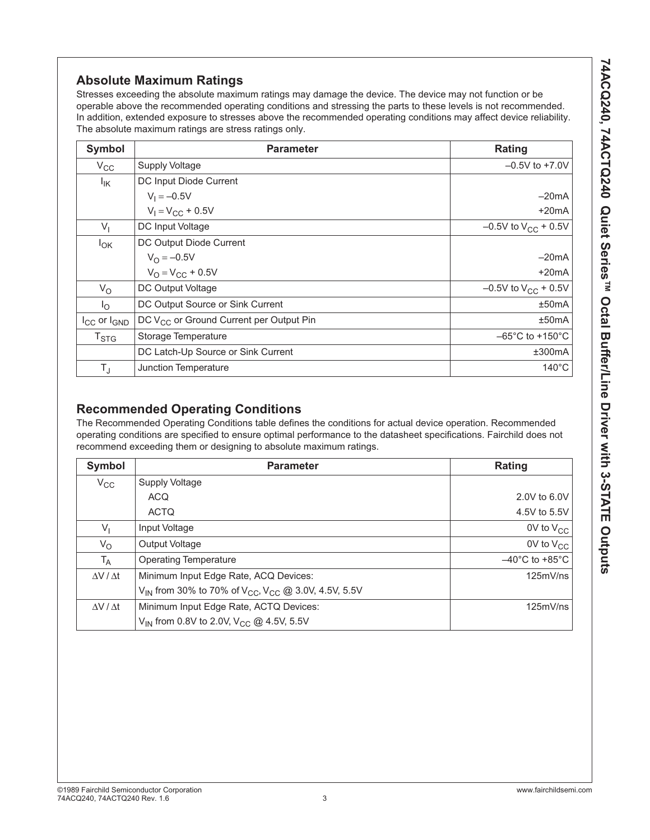Stresses exceeding the absolute maximum ratings may damage the device. The device may not function or be operable above the recommended operating conditions and stressing the parts to these levels is not recommended. In addition, extended exposure to stresses above the recommended operating conditions may affect device reliability. The absolute maximum ratings are stress ratings only.

| Symbol                      | <b>Parameter</b>                                    | <b>Rating</b>                        |
|-----------------------------|-----------------------------------------------------|--------------------------------------|
| $V_{\rm CC}$                | <b>Supply Voltage</b>                               | $-0.5V$ to $+7.0V$                   |
| $I_{IK}$                    | DC Input Diode Current                              |                                      |
|                             | $V_1 = -0.5V$                                       | $-20mA$                              |
|                             | $V_1 = V_{CC} + 0.5V$                               | $+20mA$                              |
| $V_{1}$                     | DC Input Voltage                                    | $-0.5V$ to $V_{CC}$ + 0.5V           |
| $I_{OK}$                    | DC Output Diode Current                             |                                      |
|                             | $V_{\Omega} = -0.5V$                                | $-20mA$                              |
|                             | $V_{\Omega} = V_{\text{CC}} + 0.5V$                 | $+20mA$                              |
| $V_{\rm O}$                 | DC Output Voltage                                   | $-0.5V$ to $V_{CC}$ + 0.5V           |
| $I_{\Omega}$                | DC Output Source or Sink Current                    | ±50mA                                |
| $I_{CC}$ or $I_{GND}$       | DC V <sub>CC</sub> or Ground Current per Output Pin | ±50mA                                |
| $\mathsf{T}_{\textsf{STG}}$ | Storage Temperature                                 | $-65^{\circ}$ C to +150 $^{\circ}$ C |
|                             | DC Latch-Up Source or Sink Current                  | ±300mA                               |
| $T_{\text{J}}$              | Junction Temperature                                | $140^{\circ}$ C                      |

# **Recommended Operating Conditions**

The Recommended Operating Conditions table defines the conditions for actual device operation. Recommended operating conditions are specified to ensure optimal performance to the datasheet specifications. Fairchild does not recommend exceeding them or designing to absolute maximum ratings.

| Symbol                | <b>Parameter</b>                                                                        | Rating                              |
|-----------------------|-----------------------------------------------------------------------------------------|-------------------------------------|
| $V_{\rm CC}$          | Supply Voltage                                                                          |                                     |
|                       | <b>ACQ</b>                                                                              | 2.0V to 6.0V                        |
|                       | <b>ACTQ</b>                                                                             | 4.5V to 5.5V                        |
| $V_{1}$               | Input Voltage                                                                           | $0V$ to $V_{CC}$                    |
| $V_{\rm O}$           | <b>Output Voltage</b>                                                                   | $0V$ to $V_{CC}$                    |
| $T_A$                 | <b>Operating Temperature</b>                                                            | $-40^{\circ}$ C to +85 $^{\circ}$ C |
| $\Delta V / \Delta t$ | Minimum Input Edge Rate, ACQ Devices:                                                   | 125mV/ns                            |
|                       | V <sub>IN</sub> from 30% to 70% of V <sub>CC</sub> , V <sub>CC</sub> @ 3.0V, 4.5V, 5.5V |                                     |
| $\Delta V / \Delta t$ | Minimum Input Edge Rate, ACTQ Devices:                                                  | 125mV/ns                            |
|                       | V <sub>IN</sub> from 0.8V to 2.0V, V <sub>CC</sub> @ 4.5V, 5.5V                         |                                     |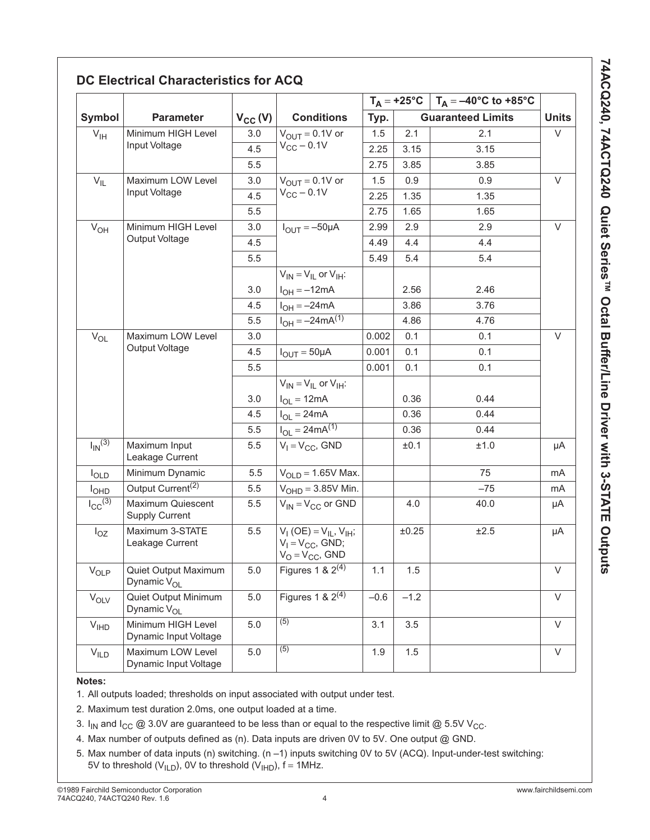|                         |                                                 |              |                                                                                     |        |        | $T_A = +25^{\circ}C$   $T_A = -40^{\circ}C$ to $+85^{\circ}C$ |              |
|-------------------------|-------------------------------------------------|--------------|-------------------------------------------------------------------------------------|--------|--------|---------------------------------------------------------------|--------------|
| Symbol                  | <b>Parameter</b>                                | $V_{CC} (V)$ | <b>Conditions</b>                                                                   | Typ.   |        | <b>Guaranteed Limits</b>                                      | <b>Units</b> |
| V <sub>IH</sub>         | Minimum HIGH Level                              | 3.0          | $V_{OUT} = 0.1V$ or                                                                 | 1.5    | 2.1    | 2.1                                                           | $\vee$       |
|                         | Input Voltage                                   | 4.5          | $V_{CC}$ - 0.1V                                                                     | 2.25   | 3.15   | 3.15                                                          |              |
|                         |                                                 | 5.5          |                                                                                     | 2.75   | 3.85   | 3.85                                                          |              |
| $V_{IL}$                | Maximum LOW Level                               | 3.0          | $V_{\text{OUT}} = 0.1V$ or                                                          | 1.5    | 0.9    | 0.9                                                           | $\vee$       |
|                         | Input Voltage                                   | 4.5          | $V_{CC}$ - 0.1V                                                                     | 2.25   | 1.35   | 1.35                                                          |              |
|                         |                                                 | 5.5          |                                                                                     | 2.75   | 1.65   | 1.65                                                          |              |
| $V_{OH}$                | Minimum HIGH Level                              | 3.0          | $I_{OUIT} = -50 \mu A$                                                              | 2.99   | 2.9    | 2.9                                                           | $\vee$       |
|                         | Output Voltage                                  | 4.5          |                                                                                     | 4.49   | 4.4    | 4.4                                                           |              |
|                         |                                                 | 5.5          |                                                                                     | 5.49   | 5.4    | 5.4                                                           |              |
|                         |                                                 |              | $V_{IN} = V_{IL}$ or $V_{IH}$ :                                                     |        |        |                                                               |              |
|                         |                                                 | 3.0          | $I_{OH} = -12mA$                                                                    |        | 2.56   | 2.46                                                          |              |
|                         |                                                 | 4.5          | $I_{OH} = -24mA$                                                                    |        | 3.86   | 3.76                                                          |              |
|                         |                                                 | 5.5          | $I_{OH} = -24mA^{(1)}$                                                              |        | 4.86   | 4.76                                                          |              |
| $V_{OL}$                | Maximum LOW Level                               | 3.0          |                                                                                     | 0.002  | 0.1    | 0.1                                                           | $\vee$       |
|                         | Output Voltage                                  | 4.5          | $I_{OUT} = 50 \mu A$                                                                | 0.001  | 0.1    | 0.1                                                           |              |
|                         |                                                 | 5.5          |                                                                                     | 0.001  | 0.1    | 0.1                                                           |              |
|                         |                                                 |              | $V_{IN} = V_{IL}$ or $V_{IH}$ :                                                     |        |        |                                                               |              |
|                         |                                                 | 3.0          | $I_{OL} = 12mA$                                                                     |        | 0.36   | 0.44                                                          |              |
|                         |                                                 | 4.5          | $I_{OL} = 24mA$                                                                     |        | 0.36   | 0.44                                                          |              |
|                         |                                                 | 5.5          | $I_{OL} = 24mA^{(1)}$                                                               |        | 0.36   | 0.44                                                          |              |
| $I_{IN}$ <sup>(3)</sup> | Maximum Input<br>Leakage Current                | 5.5          | $V_1 = V_{CC}$ , GND                                                                |        | ±0.1   | ±1.0                                                          | μA           |
| $I_{OLD}$               | Minimum Dynamic                                 | 5.5          | $V_{OLD} = 1.65V$ Max.                                                              |        |        | 75                                                            | mA           |
| <b>I<sub>OHD</sub></b>  | Output Current <sup>(2)</sup>                   | 5.5          | $VOHD = 3.85V$ Min.                                                                 |        |        | $-75$                                                         | mA           |
| $I_{CC}(\overline{3)}$  | Maximum Quiescent<br><b>Supply Current</b>      | 5.5          | $V_{IN} = V_{CC}$ or GND                                                            |        | 4.0    | 40.0                                                          | μA           |
| $I_{OZ}$                | Maximum 3-STATE<br>Leakage Current              | 5.5          | $V_I$ (OE) = $V_{IL}$ , $V_{IH}$ ;<br>$V_1 = V_{CC}$ , GND;<br>$V_O = V_{CC}$ , GND |        | ±0.25  | ±2.5                                                          | μA           |
| $V_{OLP}$               | Quiet Output Maximum<br>Dynamic V <sub>OL</sub> | 5.0          | Figures 1 & $2^{(4)}$                                                               | 1.1    | 1.5    |                                                               | $\vee$       |
| $V_{OLV}$               | Quiet Output Minimum<br>Dynamic V <sub>OL</sub> | 5.0          | Figures 1 & $2^{(4)}$                                                               | $-0.6$ | $-1.2$ |                                                               | $\vee$       |
| V <sub>IHD</sub>        | Minimum HIGH Level<br>Dynamic Input Voltage     | 5.0          | (5)                                                                                 | 3.1    | 3.5    |                                                               | V            |
| $V_{ILD}$               | Maximum LOW Level<br>Dynamic Input Voltage      | 5.0          | (5)                                                                                 | 1.9    | 1.5    |                                                               | V            |

# **DC Electrical Characteristics for ACQ**

#### **Notes:**

1. All outputs loaded; thresholds on input associated with output under test.

2. Maximum test duration 2.0ms, one output loaded at a time.

- 3. I<sub>IN</sub> and I<sub>CC</sub> @ 3.0V are guaranteed to be less than or equal to the respective limit @ 5.5V V<sub>CC</sub>.
- 4. Max number of outputs defined as (n). Data inputs are driven 0V to 5V. One output @ GND.
- 5. Max number of data inputs (n) switching. (n –1) inputs switching 0V to 5V (ACQ). Input-under-test switching: 5V to threshold ( $V<sub>ILD</sub>$ ), 0V to threshold ( $V<sub>HID</sub>$ ), f = 1MHz.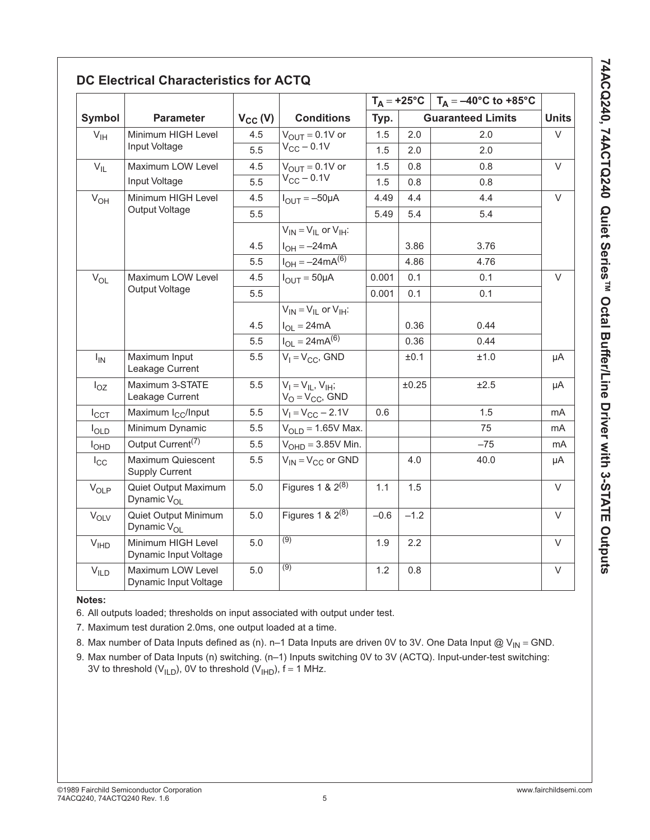|                  |                                                 |              |                                                     |        |        | $T_A = +25^{\circ}C$   $T_A = -40^{\circ}C$ to +85°C |              |
|------------------|-------------------------------------------------|--------------|-----------------------------------------------------|--------|--------|------------------------------------------------------|--------------|
| <b>Symbol</b>    | <b>Parameter</b>                                | $V_{CC} (V)$ | <b>Conditions</b>                                   | Typ.   |        | <b>Guaranteed Limits</b>                             | <b>Units</b> |
| $V_{\text{IH}}$  | Minimum HIGH Level                              | 4.5          | $V_{OUIT} = 0.1V$ or                                | 1.5    | 2.0    | 2.0                                                  | $\vee$       |
|                  | Input Voltage                                   | 5.5          | $V_{CC}$ – 0.1V                                     | 1.5    | 2.0    | 2.0                                                  |              |
| $V_{IL}$         | Maximum LOW Level                               | 4.5          | $V_{OUT} = 0.1V$ or                                 | 1.5    | 0.8    | 0.8                                                  | $\vee$       |
|                  | Input Voltage                                   | 5.5          | $V_{CC}$ – 0.1V                                     | 1.5    | 0.8    | 0.8                                                  |              |
| $V_{OH}$         | Minimum HIGH Level                              | 4.5          | $I_{OUT} = -50 \mu A$                               | 4.49   | 4.4    | 4.4                                                  | $\vee$       |
|                  | Output Voltage                                  | 5.5          |                                                     | 5.49   | 5.4    | 5.4                                                  |              |
|                  |                                                 |              | $V_{IN} = V_{IL}$ or $V_{IH}$ :                     |        |        |                                                      |              |
|                  |                                                 | 4.5          | $I_{OH} = -24mA$                                    |        | 3.86   | 3.76                                                 |              |
|                  |                                                 | 5.5          | $I_{OH} = -24mA^{(6)}$                              |        | 4.86   | 4.76                                                 |              |
| $V_{OL}$         | Maximum LOW Level                               | 4.5          | $I_{OUT} = 50 \mu A$                                | 0.001  | 0.1    | 0.1                                                  | $\vee$       |
|                  | Output Voltage                                  | 5.5          |                                                     | 0.001  | 0.1    | 0.1                                                  |              |
|                  |                                                 |              | $V_{IN} = V_{II}$ or $V_{IH}$ :                     |        |        |                                                      |              |
|                  |                                                 | 4.5          | $I_{OL} = 24mA$                                     |        | 0.36   | 0.44                                                 |              |
|                  |                                                 | 5.5          | $I_{OL} = 24mA^{(6)}$                               |        | 0.36   | 0.44                                                 |              |
| $I_{IN}$         | Maximum Input<br>Leakage Current                | 5.5          | $V_1 = V_{CC}$ , GND                                |        | ±0.1   | ±1.0                                                 | μA           |
| $I_{OZ}$         | Maximum 3-STATE<br>Leakage Current              | 5.5          | $V_1 = V_{II}$ , $V_{IH}$ ;<br>$V_O = V_{CC}$ , GND |        | ±0.25  | ±2.5                                                 | μA           |
| $I_{\text{CCT}}$ | Maximum I <sub>CC</sub> /Input                  | 5.5          | $V_1 = V_{CC} - 2.1V$                               | 0.6    |        | 1.5                                                  | mA           |
| $I_{OLD}$        | Minimum Dynamic                                 | 5.5          | $VOLD = 1.65V$ Max.                                 |        |        | 75                                                   | mA           |
| I <sub>OHD</sub> | Output Current <sup>(7)</sup>                   | 5.5          | $VOHD = 3.85V$ Min.                                 |        |        | $-75$                                                | mA           |
| $I_{\rm CC}$     | Maximum Quiescent<br><b>Supply Current</b>      | 5.5          | $V_{IN} = V_{CC}$ or GND                            |        | 4.0    | 40.0                                                 | μA           |
| $V_{OLP}$        | Quiet Output Maximum<br>Dynamic V <sub>OL</sub> | 5.0          | Figures $1 \& 2^{(8)}$                              | 1.1    | 1.5    |                                                      | $\vee$       |
| $V_{OLV}$        | Quiet Output Minimum<br>Dynamic V <sub>OL</sub> | 5.0          | Figures 1 & $2^{(8)}$                               | $-0.6$ | $-1.2$ |                                                      | $\vee$       |
| V <sub>IHD</sub> | Minimum HIGH Level<br>Dynamic Input Voltage     | 5.0          | $\overline{(9)}$                                    | 1.9    | 2.2    |                                                      | $\vee$       |
| V <sub>ILD</sub> | Maximum LOW Level<br>Dynamic Input Voltage      | 5.0          | $\overline{(9)}$                                    | 1.2    | 0.8    |                                                      | $\vee$       |

# **DC Electrical Characteristics for ACTQ**

#### **Notes:**

6. All outputs loaded; thresholds on input associated with output under test.

7. Maximum test duration 2.0ms, one output loaded at a time.

- 8. Max number of Data Inputs defined as (n). n–1 Data Inputs are driven 0V to 3V. One Data Input @ V<sub>IN</sub> = GND.
- 9. Max number of Data Inputs (n) switching. (n–1) Inputs switching 0V to 3V (ACTQ). Input-under-test switching: 3V to threshold (V<sub>ILD</sub>), 0V to threshold (V<sub>IHD</sub>), f = 1 MHz.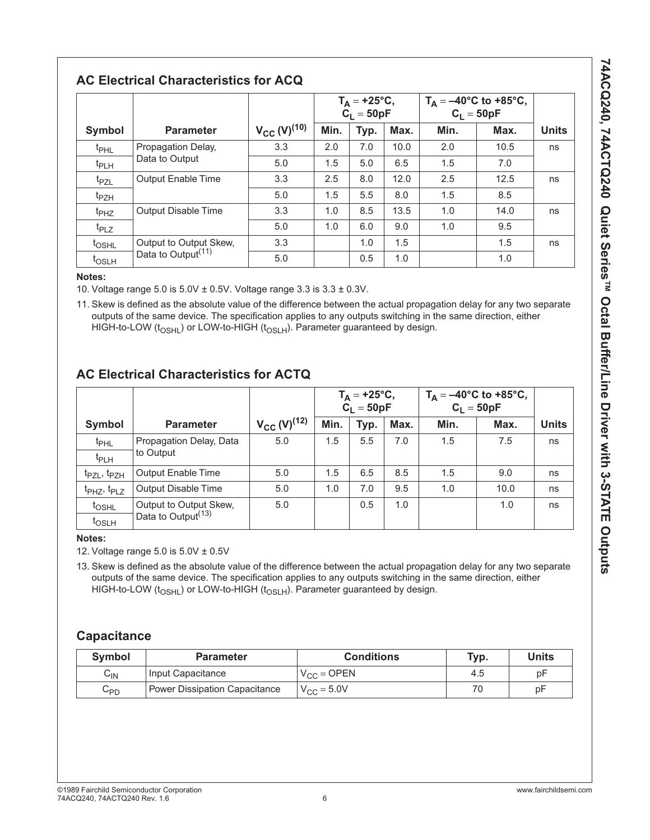# **AC Electrical Characteristics for ACQ**

|                   |                                |                     | $T_A = +25$ °C,<br>$C_1 = 50pF$ |      | $T_A = -40^{\circ}C$ to +85°C,<br>$C_1 = 50pF$ |      |      |              |
|-------------------|--------------------------------|---------------------|---------------------------------|------|------------------------------------------------|------|------|--------------|
| Symbol            | <b>Parameter</b>               | $V_{CC} (V)^{(10)}$ | Min.                            | Typ. | Max.                                           | Min. | Max. | <b>Units</b> |
| t <sub>PHL</sub>  | Propagation Delay,             | 3.3                 | 2.0                             | 7.0  | 10.0                                           | 2.0  | 10.5 | ns           |
| t <sub>PLH</sub>  | Data to Output                 | 5.0                 | 1.5                             | 5.0  | 6.5                                            | 1.5  | 7.0  |              |
| t <sub>PZL</sub>  | <b>Output Enable Time</b>      | 3.3                 | 2.5                             | 8.0  | 12.0                                           | 2.5  | 12.5 | ns           |
| t <sub>PZH</sub>  |                                | 5.0                 | 1.5                             | 5.5  | 8.0                                            | 1.5  | 8.5  |              |
| t <sub>PHZ</sub>  | <b>Output Disable Time</b>     | 3.3                 | 1.0                             | 8.5  | 13.5                                           | 1.0  | 14.0 | ns           |
| t <sub>PLZ</sub>  |                                | 5.0                 | 1.0                             | 6.0  | 9.0                                            | 1.0  | 9.5  |              |
| t <sub>OSHL</sub> | Output to Output Skew,         | 3.3                 |                                 | 1.0  | 1.5                                            |      | 1.5  | ns           |
| t <sub>OSLH</sub> | Data to Output <sup>(11)</sup> | 5.0                 |                                 | 0.5  | 1.0                                            |      | 1.0  |              |

#### **Notes:**

10. Voltage range 5.0 is 5.0V ± 0.5V. Voltage range 3.3 is 3.3 ± 0.3V.

11. Skew is defined as the absolute value of the difference between the actual propagation delay for any two separate outputs of the same device. The specification applies to any outputs switching in the same direction, either HIGH-to-LOW ( $t_{OSHL}$ ) or LOW-to-HIGH ( $t_{OSLH}$ ). Parameter guaranteed by design.

# **AC Electrical Characteristics for ACTQ**

|                                     |                                |                              | $T_A = +25$ °C,<br>$\ddot{C}_1 = 50pF$ |               | $T_A = -40^{\circ}C$ to +85°C,<br>$C_1 = 50pF$ |      |      |              |
|-------------------------------------|--------------------------------|------------------------------|----------------------------------------|---------------|------------------------------------------------|------|------|--------------|
| Symbol                              | <b>Parameter</b>               | $V_{CC}$ (V) <sup>(12)</sup> | Min.                                   | Typ.          | Max.                                           | Min. | Max. | <b>Units</b> |
| t <sub>PHL</sub>                    | Propagation Delay, Data        | 5.0                          | 1.5                                    | $5.5^{\circ}$ | 7.0                                            | 1.5  | 7.5  | ns           |
| t <sub>PLH</sub>                    | to Output                      |                              |                                        |               |                                                |      |      |              |
| t <sub>PZL</sub> , t <sub>PZH</sub> | <b>Output Enable Time</b>      | 5.0                          | 1.5                                    | 6.5           | 8.5                                            | 1.5  | 9.0  | ns           |
| t <sub>PHZ</sub> , t <sub>PLZ</sub> | <b>Output Disable Time</b>     | 5.0                          | 1.0                                    | 7.0           | 9.5                                            | 1.0  | 10.0 | ns           |
| t <sub>OSHL</sub>                   | Output to Output Skew,         | 5.0                          |                                        | $0.5^{\circ}$ | 1.0                                            |      | 1.0  | ns           |
| t <sub>oslh</sub>                   | Data to Output <sup>(13)</sup> |                              |                                        |               |                                                |      |      |              |

**Notes:**

12. Voltage range 5.0 is 5.0V ± 0.5V

13. Skew is defined as the absolute value of the difference between the actual propagation delay for any two separate outputs of the same device. The specification applies to any outputs switching in the same direction, either HIGH-to-LOW ( $t_{OSHL}$ ) or LOW-to-HIGH ( $t_{OSLH}$ ). Parameter guaranteed by design.

# **Capacitance**

| <b>Symbol</b>     | <b>Parameter</b>              | <b>Conditions</b>      | Typ. | Units |
|-------------------|-------------------------------|------------------------|------|-------|
| $\mathtt{C_{IN}}$ | Input Capacitance             | $V_{CC} =$ OPEN        | 4.5  | рF    |
| UPD               | Power Dissipation Capacitance | $V_{\text{CC}} = 5.0V$ |      | рF    |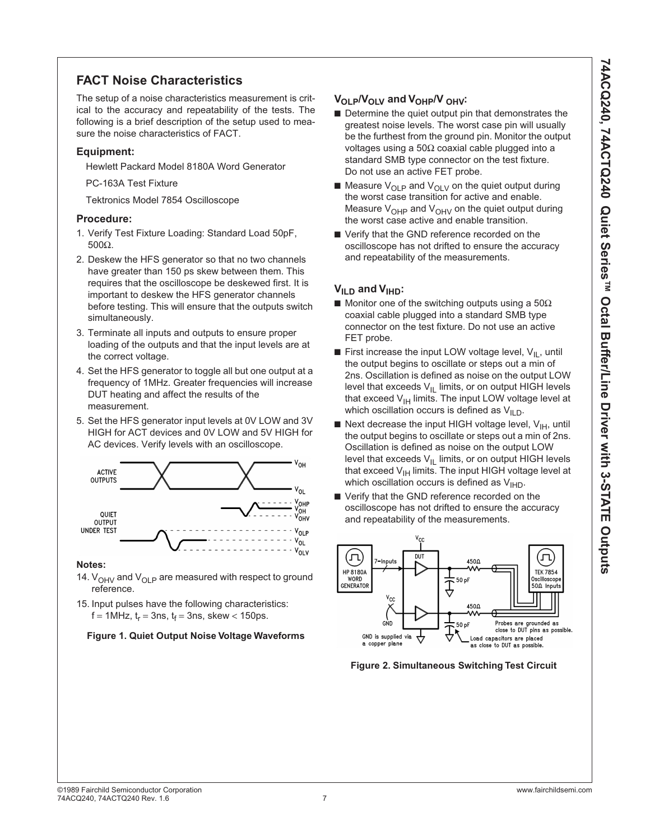# **FACT Noise Characteristics**

The setup of a noise characteristics measurement is critical to the accuracy and repeatability of the tests. The following is a brief description of the setup used to measure the noise characteristics of FACT.

#### **Equipment:**

Hewlett Packard Model 8180A Word Generator

PC-163A Test Fixture

Tektronics Model 7854 Oscilloscope

#### **Procedure:**

- 1. Verify Test Fixture Loading: Standard Load 50pF, 500Ω.
- 2. Deskew the HFS generator so that no two channels have greater than 150 ps skew between them. This requires that the oscilloscope be deskewed first. It is important to deskew the HFS generator channels before testing. This will ensure that the outputs switch simultaneously.
- 3. Terminate all inputs and outputs to ensure proper loading of the outputs and that the input levels are at the correct voltage.
- 4. Set the HFS generator to toggle all but one output at a frequency of 1MHz. Greater frequencies will increase DUT heating and affect the results of the measurement.
- 5. Set the HFS generator input levels at 0V LOW and 3V HIGH for ACT devices and 0V LOW and 5V HIGH for AC devices. Verify levels with an oscilloscope.



#### **Notes:**

- 14.  $V_{OHV}$  and  $V_{OLP}$  are measured with respect to ground reference.
- 15. Input pulses have the following characteristics:  $f = 1$ MHz,  $t_r = 3$ ns,  $t_f = 3$ ns, skew < 150ps.

#### **Figure 1. Quiet Output Noise Voltage Waveforms**

#### V<sub>OLP</sub>/V<sub>OLV</sub> and V<sub>OHP</sub>/V<sub>OHV</sub>:

- Determine the quiet output pin that demonstrates the greatest noise levels. The worst case pin will usually be the furthest from the ground pin. Monitor the output voltages using a 50Ω coaxial cable plugged into a standard SMB type connector on the test fixture. Do not use an active FET probe.
- $\blacksquare$  Measure  $V_{OLP}$  and  $V_{OLV}$  on the quiet output during the worst case transition for active and enable. Measure  $V_{\text{OHP}}$  and  $V_{\text{OHV}}$  on the quiet output during the worst case active and enable transition.
- Verify that the GND reference recorded on the oscilloscope has not drifted to ensure the accuracy and repeatability of the measurements.

#### **V<sub>ILD</sub>** and **V**<sub>IHD</sub>:

- Monitor one of the switching outputs using a 50 $\Omega$ coaxial cable plugged into a standard SMB type connector on the test fixture. Do not use an active FET probe.
- **E** First increase the input LOW voltage level,  $V_{II}$ , until the output begins to oscillate or steps out a min of 2ns. Oscillation is defined as noise on the output LOW level that exceeds  $V_{IL}$  limits, or on output HIGH levels that exceed  $V_{\text{IH}}$  limits. The input LOW voltage level at which oscillation occurs is defined as  $V_{II, D}$ .
- Next decrease the input HIGH voltage level,  $V_{\text{IH}}$ , until the output begins to oscillate or steps out a min of 2ns. Oscillation is defined as noise on the output LOW level that exceeds  $V_{IL}$  limits, or on output HIGH levels that exceed  $V_{\text{IH}}$  limits. The input HIGH voltage level at which oscillation occurs is defined as  $V_{\text{H-D}}$ .
- Verify that the GND reference recorded on the oscilloscope has not drifted to ensure the accuracy and repeatability of the measurements.



**Figure 2. Simultaneous Switching Test Circuit**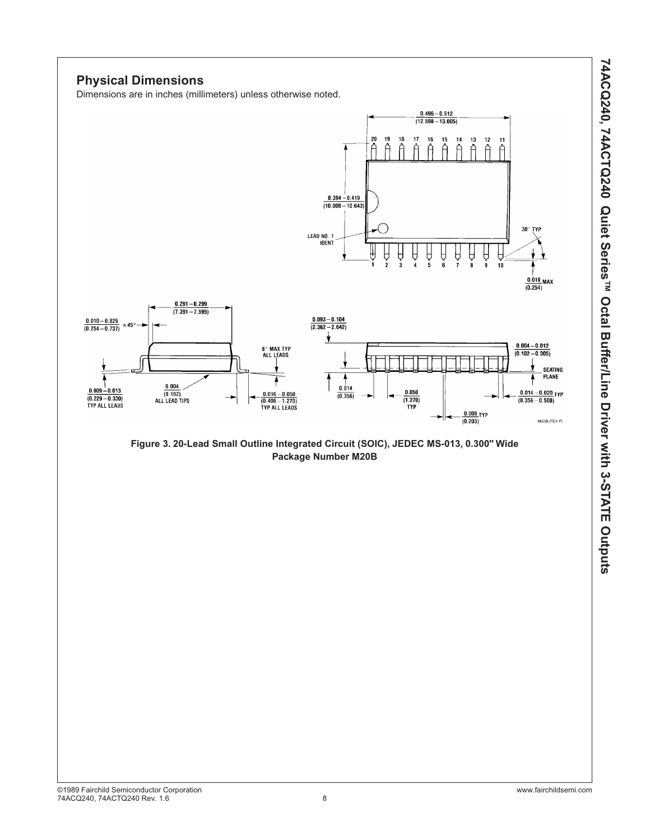

30° TYP

 $\frac{0.010}{(0.254)}$ MAX

 $0.004 - 0.012$ 

 $(0.102 - 0.305)$ 

SEATING<br>PLANE

M20B (REV F)

 $0.014 - 0.020$  TYP

 $(0.356 - 0.508)$ 

# ©1989 Fairchild Semiconductor Corporation www.fairchildsemi.com 74ACQ240, 74ACTQ240 Rev. 1.6 8

# **Physical Dimensions**

 $\frac{0.010 - 0.029}{(0.254 - 0.737)}$ 

 $0.009 - 0.013$ 

 $(0.229 - 0.330)$ <br>TYP ALL LEADS

 $\times$  45°

Dimensions are in inches (millimeters) unless otherwise noted.

 $\frac{0.291 - 0.299}{(7.391 - 7.595)}$ 

 $\begin{array}{c} 0.004 \\ (0.102) \\ \text{ALL LEAD TIPS} \end{array}$ 

**Figure 3. 20-Lead Small Outline Integrated Circuit (SOIC), JEDEC MS-013, 0.300" Wide Package Number M20B**

 $0.496 - 0.512$  $\overline{(12.598 - 13.005)}$ 

> Ä Ä

 $15$ 

 $14$  $\overset{13}{\cap}$  $\hat{A}$  $\stackrel{11}{\cap}$ 

Ä

Ĥ

θ

10

Ĥ

R

 $\frac{0.008}{(0.203)}$ TYP

Ĥ

ĥ

 $17$  $16$ 

18

Ĥ Ĥ Ĥ Ą

 $0.050$ 

 $\frac{(1.270)}{TYP}$ 

t. ,  $\mathbf{a}$ 

Ã

20 19

Å

 $\begin{array}{r} \n 0.394 - 0.419 \\
\hline\n (10.008 - 10.643)\n \end{array}$ 

LEAD NO. 1<br>IDENT

 $\frac{0.093 - 0.104}{(2.362 - 2.642)}$ 

ł

Y

۸

 $0.014$ 

 $(0.356)$ 

**8° MAX TYP**<br>ALL LEADS

 $\begin{array}{c} 0.016 - 0.050 \\ \hline (0.406 - 1.270) \\ \hline \end{array}$  TYP ALL LEADS

÷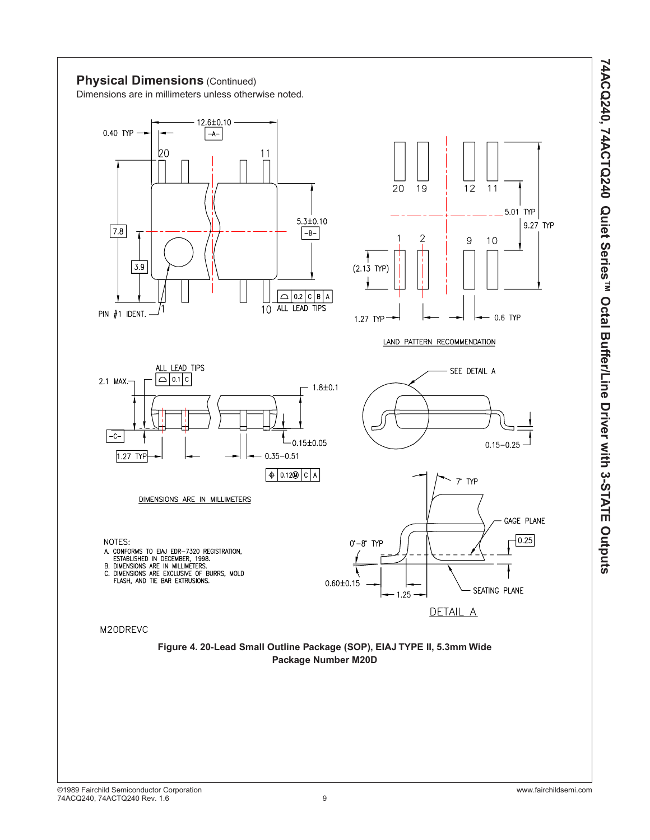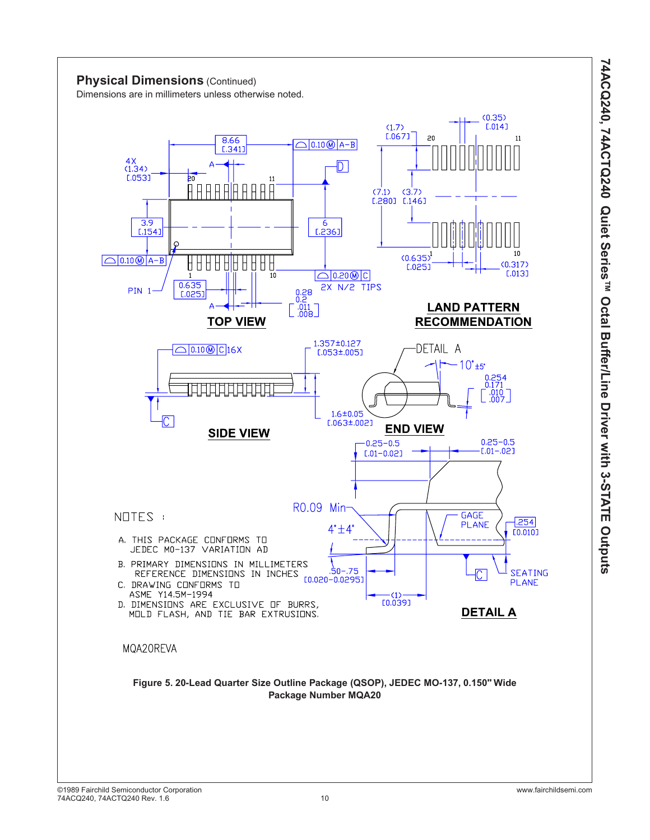